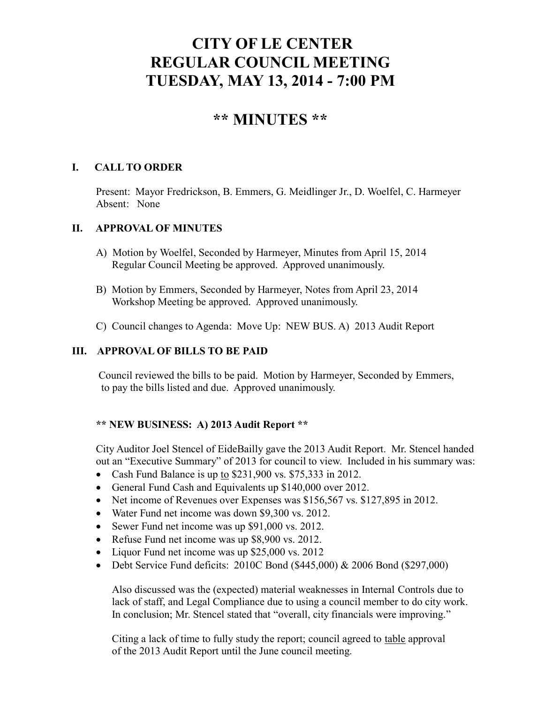# **CITY OF LE CENTER REGULAR COUNCIL MEETING TUESDAY, MAY 13, 2014 - 7:00 PM**

# **\*\* MINUTES \*\***

## **I. CALL TO ORDER**

Present: Mayor Fredrickson, B. Emmers, G. Meidlinger Jr., D. Woelfel, C. Harmeyer Absent: None

### **II. APPROVAL OF MINUTES**

- A) Motion by Woelfel, Seconded by Harmeyer, Minutes from April 15, 2014 Regular Council Meeting be approved. Approved unanimously.
- B) Motion by Emmers, Seconded by Harmeyer, Notes from April 23, 2014 Workshop Meeting be approved. Approved unanimously.
- C) Council changes to Agenda: Move Up: NEW BUS. A) 2013 Audit Report

## **III. APPROVAL OF BILLS TO BE PAID**

Council reviewed the bills to be paid. Motion by Harmeyer, Seconded by Emmers, to pay the bills listed and due. Approved unanimously.

### **\*\* NEW BUSINESS: A) 2013 Audit Report \*\***

City Auditor Joel Stencel of EideBailly gave the 2013 Audit Report. Mr. Stencel handed out an "Executive Summary" of 2013 for council to view. Included in his summary was:

- Cash Fund Balance is up to \$231,900 vs. \$75,333 in 2012.
- General Fund Cash and Equivalents up \$140,000 over 2012.
- Net income of Revenues over Expenses was \$156,567 vs. \$127,895 in 2012.
- Water Fund net income was down \$9,300 vs. 2012.
- Sewer Fund net income was up \$91,000 vs. 2012.
- Refuse Fund net income was up \$8,900 vs. 2012.
- Liquor Fund net income was up \$25,000 vs. 2012
- Debt Service Fund deficits: 2010C Bond (\$445,000) & 2006 Bond (\$297,000)

Also discussed was the (expected) material weaknesses in Internal Controls due to lack of staff, and Legal Compliance due to using a council member to do city work. In conclusion; Mr. Stencel stated that "overall, city financials were improving."

Citing a lack of time to fully study the report; council agreed to table approval of the 2013 Audit Report until the June council meeting.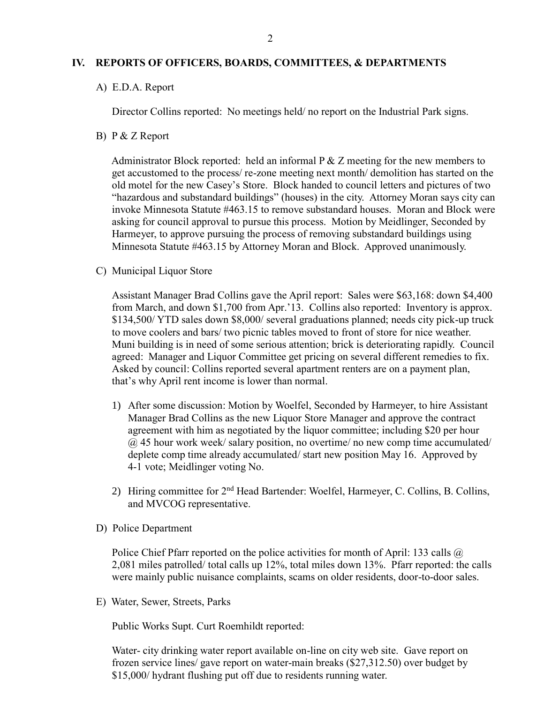#### **IV. REPORTS OF OFFICERS, BOARDS, COMMITTEES, & DEPARTMENTS**

A) E.D.A. Report

Director Collins reported: No meetings held/ no report on the Industrial Park signs.

B) P & Z Report

Administrator Block reported: held an informal  $P \& Z$  meeting for the new members to get accustomed to the process/ re-zone meeting next month/ demolition has started on the old motel for the new Casey's Store. Block handed to council letters and pictures of two "hazardous and substandard buildings" (houses) in the city. Attorney Moran says city can invoke Minnesota Statute #463.15 to remove substandard houses. Moran and Block were asking for council approval to pursue this process. Motion by Meidlinger, Seconded by Harmeyer, to approve pursuing the process of removing substandard buildings using Minnesota Statute #463.15 by Attorney Moran and Block. Approved unanimously.

C) Municipal Liquor Store

Assistant Manager Brad Collins gave the April report: Sales were \$63,168: down \$4,400 from March, and down \$1,700 from Apr.'13. Collins also reported: Inventory is approx. \$134,500/ YTD sales down \$8,000/ several graduations planned; needs city pick-up truck to move coolers and bars/ two picnic tables moved to front of store for nice weather. Muni building is in need of some serious attention; brick is deteriorating rapidly. Council agreed: Manager and Liquor Committee get pricing on several different remedies to fix. Asked by council: Collins reported several apartment renters are on a payment plan, that's why April rent income is lower than normal.

- 1) After some discussion: Motion by Woelfel, Seconded by Harmeyer, to hire Assistant Manager Brad Collins as the new Liquor Store Manager and approve the contract agreement with him as negotiated by the liquor committee; including \$20 per hour  $@$  45 hour work week/ salary position, no overtime/ no new comp time accumulated/ deplete comp time already accumulated/ start new position May 16. Approved by 4-1 vote; Meidlinger voting No.
- 2) Hiring committee for  $2<sup>nd</sup>$  Head Bartender: Woelfel, Harmeyer, C. Collins, B. Collins, and MVCOG representative.
- D) Police Department

Police Chief Pfarr reported on the police activities for month of April: 133 calls  $\omega$ 2,081 miles patrolled/ total calls up 12%, total miles down 13%. Pfarr reported: the calls were mainly public nuisance complaints, scams on older residents, door-to-door sales.

E) Water, Sewer, Streets, Parks

Public Works Supt. Curt Roemhildt reported:

 Water- city drinking water report available on-line on city web site. Gave report on frozen service lines/ gave report on water-main breaks (\$27,312.50) over budget by \$15,000/ hydrant flushing put off due to residents running water.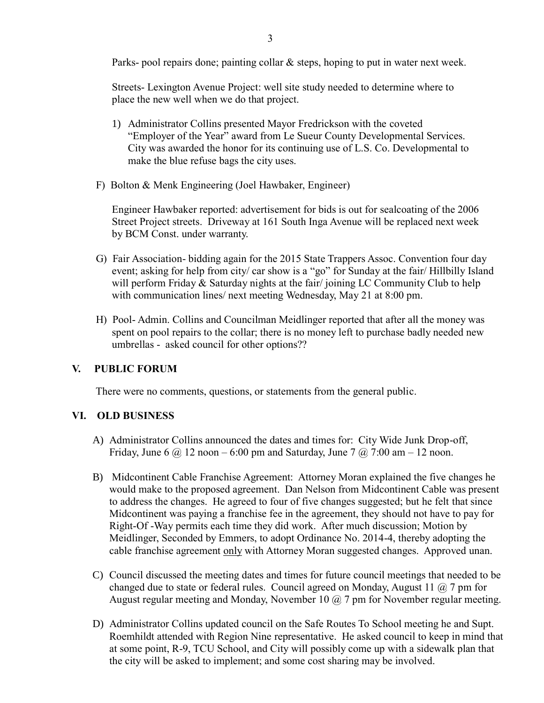Parks- pool repairs done; painting collar & steps, hoping to put in water next week.

 Streets- Lexington Avenue Project: well site study needed to determine where to place the new well when we do that project.

- 1) Administrator Collins presented Mayor Fredrickson with the coveted "Employer of the Year" award from Le Sueur County Developmental Services. City was awarded the honor for its continuing use of L.S. Co. Developmental to make the blue refuse bags the city uses.
- F) Bolton & Menk Engineering (Joel Hawbaker, Engineer)

 Engineer Hawbaker reported: advertisement for bids is out for sealcoating of the 2006 Street Project streets. Driveway at 161 South Inga Avenue will be replaced next week by BCM Const. under warranty.

- G) Fair Association- bidding again for the 2015 State Trappers Assoc. Convention four day event; asking for help from city/ car show is a "go" for Sunday at the fair/ Hillbilly Island will perform Friday & Saturday nights at the fair/joining LC Community Club to help with communication lines/ next meeting Wednesday, May 21 at 8:00 pm.
- H) Pool- Admin. Collins and Councilman Meidlinger reported that after all the money was spent on pool repairs to the collar; there is no money left to purchase badly needed new umbrellas - asked council for other options??

### **V. PUBLIC FORUM**

There were no comments, questions, or statements from the general public.

#### **VI. OLD BUSINESS**

- A) Administrator Collins announced the dates and times for: City Wide Junk Drop-off, Friday, June 6  $\omega$  12 noon – 6:00 pm and Saturday, June 7  $\omega$  7:00 am – 12 noon.
- B) Midcontinent Cable Franchise Agreement: Attorney Moran explained the five changes he would make to the proposed agreement. Dan Nelson from Midcontinent Cable was present to address the changes. He agreed to four of five changes suggested; but he felt that since Midcontinent was paying a franchise fee in the agreement, they should not have to pay for Right-Of -Way permits each time they did work. After much discussion; Motion by Meidlinger, Seconded by Emmers, to adopt Ordinance No. 2014-4, thereby adopting the cable franchise agreement only with Attorney Moran suggested changes. Approved unan.
- C) Council discussed the meeting dates and times for future council meetings that needed to be changed due to state or federal rules. Council agreed on Monday, August 11  $\omega$  7 pm for August regular meeting and Monday, November 10  $\omega$  7 pm for November regular meeting.
- D) Administrator Collins updated council on the Safe Routes To School meeting he and Supt. Roemhildt attended with Region Nine representative. He asked council to keep in mind that at some point, R-9, TCU School, and City will possibly come up with a sidewalk plan that the city will be asked to implement; and some cost sharing may be involved.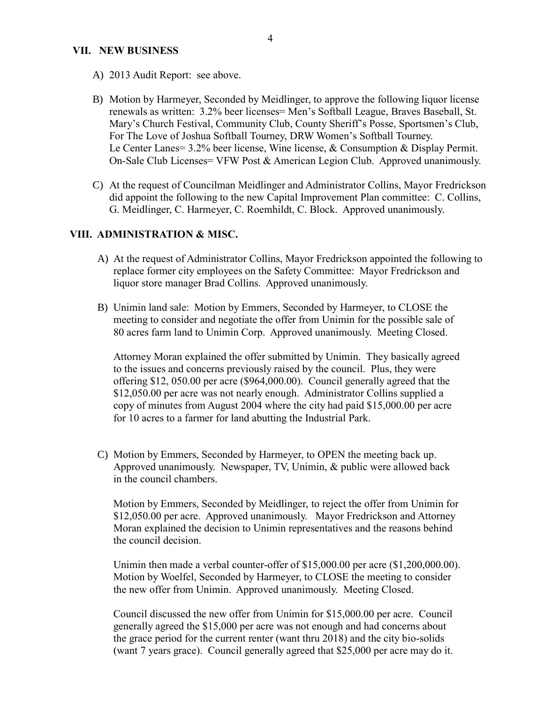#### **VII. NEW BUSINESS**

- A) 2013 Audit Report: see above.
- B) Motion by Harmeyer, Seconded by Meidlinger, to approve the following liquor license renewals as written: 3.2% beer licenses= Men's Softball League, Braves Baseball, St. Mary's Church Festival, Community Club, County Sheriff's Posse, Sportsmen's Club, For The Love of Joshua Softball Tourney, DRW Women's Softball Tourney. Le Center Lanes= 3.2% beer license, Wine license, & Consumption & Display Permit. On-Sale Club Licenses= VFW Post & American Legion Club. Approved unanimously.
- C) At the request of Councilman Meidlinger and Administrator Collins, Mayor Fredrickson did appoint the following to the new Capital Improvement Plan committee: C. Collins, G. Meidlinger, C. Harmeyer, C. Roemhildt, C. Block. Approved unanimously.

## **VIII. ADMINISTRATION & MISC.**

- A) At the request of Administrator Collins, Mayor Fredrickson appointed the following to replace former city employees on the Safety Committee: Mayor Fredrickson and liquor store manager Brad Collins. Approved unanimously.
- B) Unimin land sale: Motion by Emmers, Seconded by Harmeyer, to CLOSE the meeting to consider and negotiate the offer from Unimin for the possible sale of 80 acres farm land to Unimin Corp. Approved unanimously. Meeting Closed.

Attorney Moran explained the offer submitted by Unimin. They basically agreed to the issues and concerns previously raised by the council. Plus, they were offering \$12, 050.00 per acre (\$964,000.00). Council generally agreed that the \$12,050.00 per acre was not nearly enough. Administrator Collins supplied a copy of minutes from August 2004 where the city had paid \$15,000.00 per acre for 10 acres to a farmer for land abutting the Industrial Park.

C) Motion by Emmers, Seconded by Harmeyer, to OPEN the meeting back up. Approved unanimously. Newspaper, TV, Unimin, & public were allowed back in the council chambers.

Motion by Emmers, Seconded by Meidlinger, to reject the offer from Unimin for \$12,050.00 per acre. Approved unanimously. Mayor Fredrickson and Attorney Moran explained the decision to Unimin representatives and the reasons behind the council decision.

Unimin then made a verbal counter-offer of \$15,000.00 per acre (\$1,200,000.00). Motion by Woelfel, Seconded by Harmeyer, to CLOSE the meeting to consider the new offer from Unimin. Approved unanimously. Meeting Closed.

Council discussed the new offer from Unimin for \$15,000.00 per acre. Council generally agreed the \$15,000 per acre was not enough and had concerns about the grace period for the current renter (want thru 2018) and the city bio-solids (want 7 years grace). Council generally agreed that \$25,000 per acre may do it.